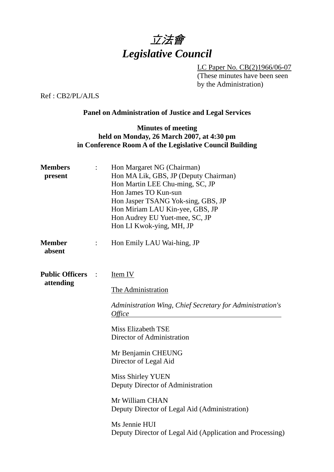

 LC Paper No. CB(2)1966/06-07 (These minutes have been seen by the Administration)

Ref : CB2/PL/AJLS

#### **Panel on Administration of Justice and Legal Services**

#### **Minutes of meeting held on Monday, 26 March 2007, at 4:30 pm in Conference Room A of the Legislative Council Building**

| <b>Members</b><br>present           | Hon Margaret NG (Chairman)<br>Hon MA Lik, GBS, JP (Deputy Chairman)<br>Hon Martin LEE Chu-ming, SC, JP<br>Hon James TO Kun-sun<br>Hon Jasper TSANG Yok-sing, GBS, JP<br>Hon Miriam LAU Kin-yee, GBS, JP<br>Hon Audrey EU Yuet-mee, SC, JP<br>Hon LI Kwok-ying, MH, JP                                                                                                                                                                    |
|-------------------------------------|------------------------------------------------------------------------------------------------------------------------------------------------------------------------------------------------------------------------------------------------------------------------------------------------------------------------------------------------------------------------------------------------------------------------------------------|
| <b>Member</b><br>absent             | Hon Emily LAU Wai-hing, JP                                                                                                                                                                                                                                                                                                                                                                                                               |
| <b>Public Officers</b><br>attending | Item IV<br>The Administration<br>Administration Wing, Chief Secretary for Administration's<br><i>Office</i><br><b>Miss Elizabeth TSE</b><br>Director of Administration<br>Mr Benjamin CHEUNG<br>Director of Legal Aid<br><b>Miss Shirley YUEN</b><br>Deputy Director of Administration<br>Mr William CHAN<br>Deputy Director of Legal Aid (Administration)<br>Ms Jennie HUI<br>Deputy Director of Legal Aid (Application and Processing) |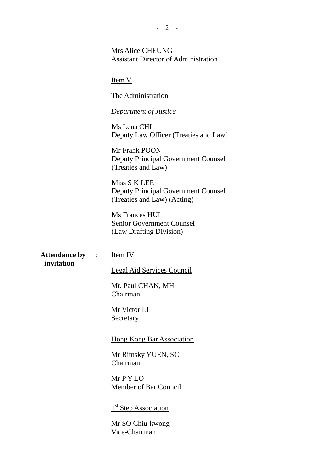Mrs Alice CHEUNG Assistant Director of Administration

Item V

The Administration

*Department of Justice*

Ms Lena CHI Deputy Law Officer (Treaties and Law)

Mr Frank POON Deputy Principal Government Counsel (Treaties and Law)

Miss S K LEE Deputy Principal Government Counsel (Treaties and Law) (Acting)

Ms Frances HUI Senior Government Counsel (Law Drafting Division)

**Attendance by invitation**  Item IV

Legal Aid Services Council

Mr. Paul CHAN, MH Chairman

Mr Victor LI **Secretary** 

Hong Kong Bar Association

Mr Rimsky YUEN, SC Chairman

Mr P Y LO Member of Bar Council

1<sup>st</sup> Step Association

Mr SO Chiu-kwong Vice-Chairman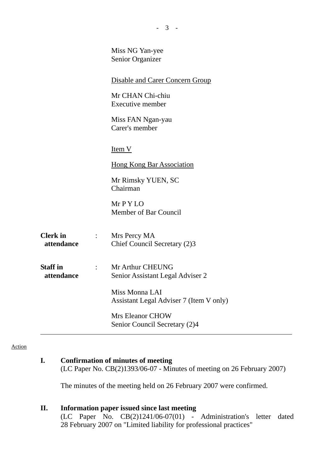|                               |                                 | Miss NG Yan-yee<br>Senior Organizer                       |
|-------------------------------|---------------------------------|-----------------------------------------------------------|
|                               |                                 | <b>Disable and Carer Concern Group</b>                    |
|                               |                                 | Mr CHAN Chi-chiu<br>Executive member                      |
|                               |                                 | Miss FAN Ngan-yau<br>Carer's member                       |
|                               |                                 | Item V                                                    |
|                               |                                 | <b>Hong Kong Bar Association</b>                          |
|                               |                                 | Mr Rimsky YUEN, SC<br>Chairman                            |
|                               |                                 | $Mr$ P Y LO<br>Member of Bar Council                      |
| <b>Clerk</b> in<br>attendance | $\mathbb{Z}^n$ . $\mathbb{Z}^n$ | Mrs Percy MA<br>Chief Council Secretary (2)3              |
| <b>Staff</b> in<br>attendance | $\mathcal{L}^{\text{max}}$      | Mr Arthur CHEUNG<br>Senior Assistant Legal Adviser 2      |
|                               |                                 | Miss Monna LAI<br>Assistant Legal Adviser 7 (Item V only) |
|                               |                                 | <b>Mrs Eleanor CHOW</b><br>Senior Council Secretary (2)4  |

- 3 -

#### Action

# **I. Confirmation of minutes of meeting**

(LC Paper No. CB(2)1393/06-07 - Minutes of meeting on 26 February 2007)

The minutes of the meeting held on 26 February 2007 were confirmed.

#### **II. Information paper issued since last meeting**

(LC Paper No. CB(2)1241/06-07(01) - Administration's letter dated 28 February 2007 on "Limited liability for professional practices"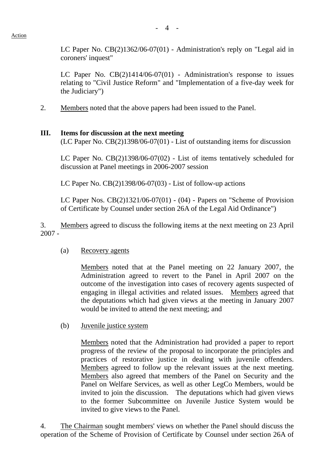LC Paper No. CB(2)1362/06-07(01) - Administration's reply on "Legal aid in coroners' inquest"

LC Paper No. CB(2)1414/06-07(01) - Administration's response to issues relating to "Civil Justice Reform" and "Implementation of a five-day week for the Judiciary")

2. Members noted that the above papers had been issued to the Panel.

#### **III. Items for discussion at the next meeting**

(LC Paper No. CB(2)1398/06-07(01) - List of outstanding items for discussion

LC Paper No. CB(2)1398/06-07(02) - List of items tentatively scheduled for discussion at Panel meetings in 2006-2007 session

LC Paper No. CB(2)1398/06-07(03) - List of follow-up actions

LC Paper Nos. CB(2)1321/06-07(01) - (04) - Papers on "Scheme of Provision of Certificate by Counsel under section 26A of the Legal Aid Ordinance")

3. Members agreed to discuss the following items at the next meeting on 23 April 2007 -

#### (a) Recovery agents

Members noted that at the Panel meeting on 22 January 2007, the Administration agreed to revert to the Panel in April 2007 on the outcome of the investigation into cases of recovery agents suspected of engaging in illegal activities and related issues. Members agreed that the deputations which had given views at the meeting in January 2007 would be invited to attend the next meeting; and

(b) Juvenile justice system

Members noted that the Administration had provided a paper to report progress of the review of the proposal to incorporate the principles and practices of restorative justice in dealing with juvenile offenders. Members agreed to follow up the relevant issues at the next meeting. Members also agreed that members of the Panel on Security and the Panel on Welfare Services, as well as other LegCo Members, would be invited to join the discussion. The deputations which had given views to the former Subcommittee on Juvenile Justice System would be invited to give views to the Panel.

4. The Chairman sought members' views on whether the Panel should discuss the operation of the Scheme of Provision of Certificate by Counsel under section 26A of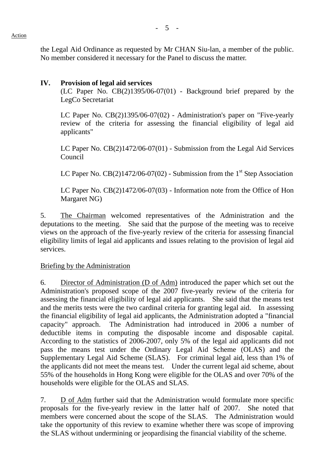the Legal Aid Ordinance as requested by Mr CHAN Siu-lan, a member of the public. No member considered it necessary for the Panel to discuss the matter.

## **IV. Provision of legal aid services**

(LC Paper No. CB(2)1395/06-07(01) - Background brief prepared by the LegCo Secretariat

LC Paper No. CB(2)1395/06-07(02) - Administration's paper on "Five-yearly review of the criteria for assessing the financial eligibility of legal aid applicants"

LC Paper No. CB(2)1472/06-07(01) - Submission from the Legal Aid Services Council

LC Paper No.  $CB(2)1472/06-07(02)$  - Submission from the 1<sup>st</sup> Step Association

LC Paper No. CB(2)1472/06-07(03) - Information note from the Office of Hon Margaret NG)

5. The Chairman welcomed representatives of the Administration and the deputations to the meeting. She said that the purpose of the meeting was to receive views on the approach of the five-yearly review of the criteria for assessing financial eligibility limits of legal aid applicants and issues relating to the provision of legal aid services.

#### Briefing by the Administration

6. Director of Administration (D of Adm) introduced the paper which set out the Administration's proposed scope of the 2007 five-yearly review of the criteria for assessing the financial eligibility of legal aid applicants. She said that the means test and the merits tests were the two cardinal criteria for granting legal aid. In assessing the financial eligibility of legal aid applicants, the Administration adopted a "financial capacity" approach. The Administration had introduced in 2006 a number of deductible items in computing the disposable income and disposable capital. According to the statistics of 2006-2007, only 5% of the legal aid applicants did not pass the means test under the Ordinary Legal Aid Scheme (OLAS) and the Supplementary Legal Aid Scheme (SLAS). For criminal legal aid, less than 1% of the applicants did not meet the means test. Under the current legal aid scheme, about 55% of the households in Hong Kong were eligible for the OLAS and over 70% of the households were eligible for the OLAS and SLAS.

7. D of Adm further said that the Administration would formulate more specific proposals for the five-yearly review in the latter half of 2007. She noted that members were concerned about the scope of the SLAS. The Administration would take the opportunity of this review to examine whether there was scope of improving the SLAS without undermining or jeopardising the financial viability of the scheme.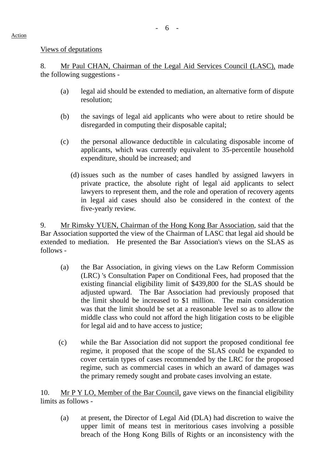#### Views of deputations

8. Mr Paul CHAN, Chairman of the Legal Aid Services Council (LASC), made the following suggestions -

- (a) legal aid should be extended to mediation, an alternative form of dispute resolution;
- (b) the savings of legal aid applicants who were about to retire should be disregarded in computing their disposable capital;
- (c) the personal allowance deductible in calculating disposable income of applicants, which was currently equivalent to 35-percentile household expenditure, should be increased; and
	- (d) issues such as the number of cases handled by assigned lawyers in private practice, the absolute right of legal aid applicants to select lawyers to represent them, and the role and operation of recovery agents in legal aid cases should also be considered in the context of the five-yearly review.

9. Mr Rimsky YUEN, Chairman of the Hong Kong Bar Association, said that the Bar Association supported the view of the Chairman of LASC that legal aid should be extended to mediation. He presented the Bar Association's views on the SLAS as follows -

- (a) the Bar Association, in giving views on the Law Reform Commission (LRC) 's Consultation Paper on Conditional Fees, had proposed that the existing financial eligibility limit of \$439,800 for the SLAS should be adjusted upward. The Bar Association had previously proposed that the limit should be increased to \$1 million. The main consideration was that the limit should be set at a reasonable level so as to allow the middle class who could not afford the high litigation costs to be eligible for legal aid and to have access to justice;
- (c) while the Bar Association did not support the proposed conditional fee regime, it proposed that the scope of the SLAS could be expanded to cover certain types of cases recommended by the LRC for the proposed regime, such as commercial cases in which an award of damages was the primary remedy sought and probate cases involving an estate.

10. Mr P Y LO, Member of the Bar Council, gave views on the financial eligibility limits as follows -

(a) at present, the Director of Legal Aid (DLA) had discretion to waive the upper limit of means test in meritorious cases involving a possible breach of the Hong Kong Bills of Rights or an inconsistency with the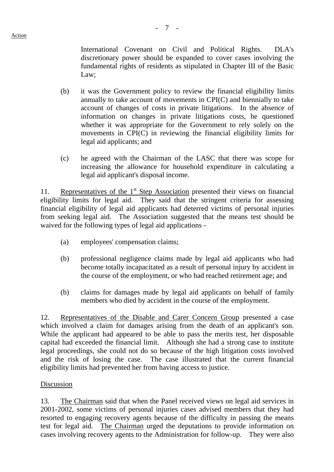International Covenant on Civil and Political Rights. DLA's discretionary power should be expanded to cover cases involving the fundamental rights of residents as stipulated in Chapter III of the Basic Law;

- (b) it was the Government policy to review the financial eligibility limits annually to take account of movements in CPI(C) and biennially to take account of changes of costs in private litigations. In the absence of information on changes in private litigations costs, he questioned whether it was appropriate for the Government to rely solely on the movements in CPI(C) in reviewing the financial eligibility limits for legal aid applicants; and
- (c) he agreed with the Chairman of the LASC that there was scope for increasing the allowance for household expenditure in calculating a legal aid applicant's disposal income.

11. Representatives of the 1<sup>st</sup> Step Association presented their views on financial eligibility limits for legal aid. They said that the stringent criteria for assessing financial eligibility of legal aid applicants had deterred victims of personal injuries from seeking legal aid. The Association suggested that the means test should be waived for the following types of legal aid applications -

- (a) employees' compensation claims;
- (b) professional negligence claims made by legal aid applicants who had become totally incapacitated as a result of personal injury by accident in the course of the employment, or who had reached retirement age; and
- (b) claims for damages made by legal aid applicants on behalf of family members who died by accident in the course of the employment.

12. Representatives of the Disable and Carer Concern Group presented a case which involved a claim for damages arising from the death of an applicant's son. While the applicant had appeared to be able to pass the merits test, her disposable capital had exceeded the financial limit. Although she had a strong case to institute legal proceedings, she could not do so because of the high litigation costs involved and the risk of losing the case. The case illustrated that the current financial eligibility limits had prevented her from having access to justice.

#### Discussion

13. The Chairman said that when the Panel received views on legal aid services in 2001-2002, some victims of personal injuries cases advised members that they had resorted to engaging recovery agents because of the difficulty in passing the means test for legal aid. The Chairman urged the deputations to provide information on cases involving recovery agents to the Administration for follow-up. They were also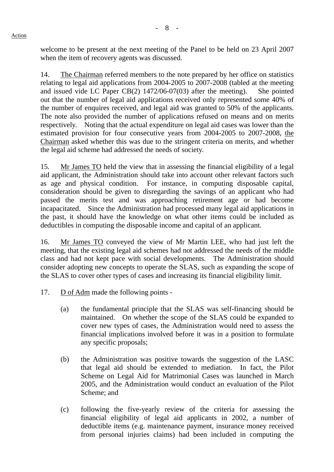welcome to be present at the next meeting of the Panel to be held on 23 April 2007 when the item of recovery agents was discussed.

14. The Chairman referred members to the note prepared by her office on statistics relating to legal aid applications from 2004-2005 to 2007-2008 (tabled at the meeting and issued vide LC Paper CB(2) 1472/06-07(03) after the meeting). She pointed out that the number of legal aid applications received only represented some 40% of the number of enquires received, and legal aid was granted to 50% of the applicants. The note also provided the number of applications refused on means and on merits respectively. Noting that the actual expenditure on legal aid cases was lower than the estimated provision for four consecutive years from 2004-2005 to 2007-2008, the Chairman asked whether this was due to the stringent criteria on merits, and whether the legal aid scheme had addressed the needs of society.

15. Mr James TO held the view that in assessing the financial eligibility of a legal aid applicant, the Administration should take into account other relevant factors such as age and physical condition. For instance, in computing disposable capital, consideration should be given to disregarding the savings of an applicant who had passed the merits test and was approaching retirement age or had become incapacitated. Since the Administration had processed many legal aid applications in the past, it should have the knowledge on what other items could be included as deductibles in computing the disposable income and capital of an applicant.

16. Mr James TO conveyed the view of Mr Martin LEE, who had just left the meeting, that the existing legal aid schemes had not addressed the needs of the middle class and had not kept pace with social developments. The Administration should consider adopting new concepts to operate the SLAS, such as expanding the scope of the SLAS to cover other types of cases and increasing its financial eligibility limit.

- 17. D of Adm made the following points
	- (a) the fundamental principle that the SLAS was self-financing should be maintained. On whether the scope of the SLAS could be expanded to cover new types of cases, the Administration would need to assess the financial implications involved before it was in a position to formulate any specific proposals;
	- (b) the Administration was positive towards the suggestion of the LASC that legal aid should be extended to mediation. In fact, the Pilot Scheme on Legal Aid for Matrimonial Cases was launched in March 2005, and the Administration would conduct an evaluation of the Pilot Scheme; and
	- (c) following the five-yearly review of the criteria for assessing the financial eligibility of legal aid applicants in 2002, a number of deductible items (e.g. maintenance payment, insurance money received from personal injuries claims) had been included in computing the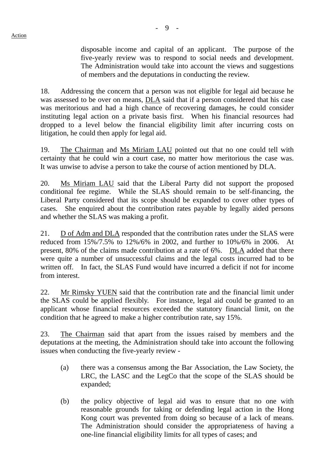disposable income and capital of an applicant. The purpose of the five-yearly review was to respond to social needs and development. The Administration would take into account the views and suggestions of members and the deputations in conducting the review.

18. Addressing the concern that a person was not eligible for legal aid because he was assessed to be over on means, DLA said that if a person considered that his case was meritorious and had a high chance of recovering damages, he could consider instituting legal action on a private basis first. When his financial resources had dropped to a level below the financial eligibility limit after incurring costs on litigation, he could then apply for legal aid.

19. The Chairman and Ms Miriam LAU pointed out that no one could tell with certainty that he could win a court case, no matter how meritorious the case was. It was unwise to advise a person to take the course of action mentioned by DLA.

20. Ms Miriam LAU said that the Liberal Party did not support the proposed conditional fee regime. While the SLAS should remain to be self-financing, the Liberal Party considered that its scope should be expanded to cover other types of cases. She enquired about the contribution rates payable by legally aided persons and whether the SLAS was making a profit.

21. D of Adm and DLA responded that the contribution rates under the SLAS were reduced from 15%/7.5% to 12%/6% in 2002, and further to 10%/6% in 2006. At present, 80% of the claims made contribution at a rate of 6%. DLA added that there were quite a number of unsuccessful claims and the legal costs incurred had to be written off. In fact, the SLAS Fund would have incurred a deficit if not for income from interest.

22. Mr Rimsky YUEN said that the contribution rate and the financial limit under the SLAS could be applied flexibly. For instance, legal aid could be granted to an applicant whose financial resources exceeded the statutory financial limit, on the condition that he agreed to make a higher contribution rate, say 15%.

23. The Chairman said that apart from the issues raised by members and the deputations at the meeting, the Administration should take into account the following issues when conducting the five-yearly review -

- (a) there was a consensus among the Bar Association, the Law Society, the LRC, the LASC and the LegCo that the scope of the SLAS should be expanded;
- (b) the policy objective of legal aid was to ensure that no one with reasonable grounds for taking or defending legal action in the Hong Kong court was prevented from doing so because of a lack of means. The Administration should consider the appropriateness of having a one-line financial eligibility limits for all types of cases; and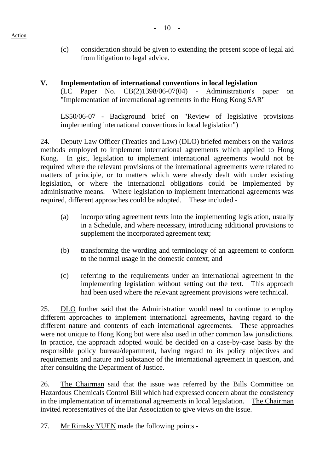## **V. Implementation of international conventions in local legislation**

(LC Paper No. CB(2)1398/06-07(04) - Administration's paper on "Implementation of international agreements in the Hong Kong SAR"

LS50/06-07 - Background brief on "Review of legislative provisions implementing international conventions in local legislation")

24. Deputy Law Officer (Treaties and Law) (DLO) briefed members on the various methods employed to implement international agreements which applied to Hong Kong. In gist, legislation to implement international agreements would not be required where the relevant provisions of the international agreements were related to matters of principle, or to matters which were already dealt with under existing legislation, or where the international obligations could be implemented by administrative means. Where legislation to implement international agreements was required, different approaches could be adopted. These included -

- (a) incorporating agreement texts into the implementing legislation, usually in a Schedule, and where necessary, introducing additional provisions to supplement the incorporated agreement text;
- (b) transforming the wording and terminology of an agreement to conform to the normal usage in the domestic context; and
- (c) referring to the requirements under an international agreement in the implementing legislation without setting out the text. This approach had been used where the relevant agreement provisions were technical.

25. DLO further said that the Administration would need to continue to employ different approaches to implement international agreements, having regard to the different nature and contents of each international agreements. These approaches were not unique to Hong Kong but were also used in other common law jurisdictions. In practice, the approach adopted would be decided on a case-by-case basis by the responsible policy bureau/department, having regard to its policy objectives and requirements and nature and substance of the international agreement in question, and after consulting the Department of Justice.

26. The Chairman said that the issue was referred by the Bills Committee on Hazardous Chemicals Control Bill which had expressed concern about the consistency in the implementation of international agreements in local legislation. The Chairman invited representatives of the Bar Association to give views on the issue.

27. Mr Rimsky YUEN made the following points -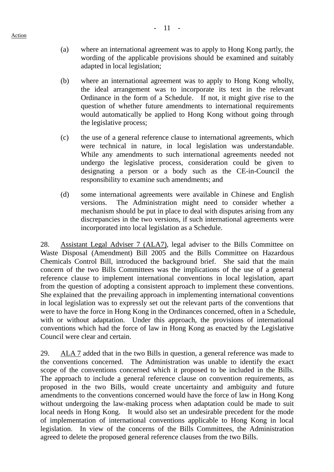(a) where an international agreement was to apply to Hong Kong partly, the wording of the applicable provisions should be examined and suitably adapted in local legislation;

- (b) where an international agreement was to apply to Hong Kong wholly, the ideal arrangement was to incorporate its text in the relevant Ordinance in the form of a Schedule. If not, it might give rise to the question of whether future amendments to international requirements would automatically be applied to Hong Kong without going through the legislative process;
- (c) the use of a general reference clause to international agreements, which were technical in nature, in local legislation was understandable. While any amendments to such international agreements needed not undergo the legislative process, consideration could be given to designating a person or a body such as the CE-in-Council the responsibility to examine such amendments; and
- (d) some international agreements were available in Chinese and English versions. The Administration might need to consider whether a mechanism should be put in place to deal with disputes arising from any discrepancies in the two versions, if such international agreements were incorporated into local legislation as a Schedule.

28. Assistant Legal Adviser 7 (ALA7), legal adviser to the Bills Committee on Waste Disposal (Amendment) Bill 2005 and the Bills Committee on Hazardous Chemicals Control Bill, introduced the background brief. She said that the main concern of the two Bills Committees was the implications of the use of a general reference clause to implement international conventions in local legislation, apart from the question of adopting a consistent approach to implement these conventions. She explained that the prevailing approach in implementing international conventions in local legislation was to expressly set out the relevant parts of the conventions that were to have the force in Hong Kong in the Ordinances concerned, often in a Schedule, with or without adaptation. Under this approach, the provisions of international conventions which had the force of law in Hong Kong as enacted by the Legislative Council were clear and certain.

29. ALA 7 added that in the two Bills in question, a general reference was made to the conventions concerned. The Administration was unable to identify the exact scope of the conventions concerned which it proposed to be included in the Bills. The approach to include a general reference clause on convention requirements, as proposed in the two Bills, would create uncertainty and ambiguity and future amendments to the conventions concerned would have the force of law in Hong Kong without undergoing the law-making process when adaptation could be made to suit local needs in Hong Kong. It would also set an undesirable precedent for the mode of implementation of international conventions applicable to Hong Kong in local legislation. In view of the concerns of the Bills Committees, the Administration agreed to delete the proposed general reference clauses from the two Bills.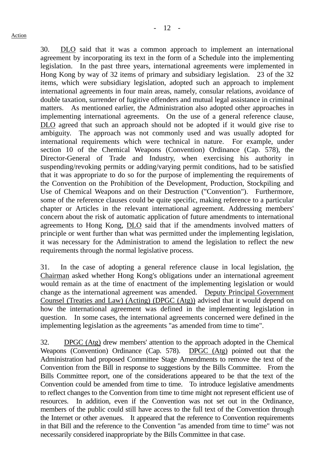30. DLO said that it was a common approach to implement an international agreement by incorporating its text in the form of a Schedule into the implementing legislation. In the past three years, international agreements were implemented in Hong Kong by way of 32 items of primary and subsidiary legislation. 23 of the 32 items, which were subsidiary legislation, adopted such an approach to implement international agreements in four main areas, namely, consular relations, avoidance of double taxation, surrender of fugitive offenders and mutual legal assistance in criminal matters. As mentioned earlier, the Administration also adopted other approaches in implementing international agreements. On the use of a general reference clause, DLO agreed that such an approach should not be adopted if it would give rise to ambiguity. The approach was not commonly used and was usually adopted for international requirements which were technical in nature. For example, under section 10 of the Chemical Weapons (Convention) Ordinance (Cap. 578), the Director-General of Trade and Industry, when exercising his authority in suspending/revoking permits or adding/varying permit conditions, had to be satisfied that it was appropriate to do so for the purpose of implementing the requirements of the Convention on the Prohibition of the Development, Production, Stockpiling and Use of Chemical Weapons and on their Destruction ("Convention"). Furthermore, some of the reference clauses could be quite specific, making reference to a particular chapter or Articles in the relevant international agreement. Addressing members' concern about the risk of automatic application of future amendments to international agreements to Hong Kong, DLO said that if the amendments involved matters of principle or went further than what was permitted under the implementing legislation, it was necessary for the Administration to amend the legislation to reflect the new requirements through the normal legislative process.

31. In the case of adopting a general reference clause in local legislation, the Chairman asked whether Hong Kong's obligations under an international agreement would remain as at the time of enactment of the implementing legislation or would change as the international agreement was amended. Deputy Principal Government Counsel (Treaties and Law) (Acting) (DPGC (Atg)) advised that it would depend on how the international agreement was defined in the implementing legislation in question. In some cases, the international agreements concerned were defined in the implementing legislation as the agreements "as amended from time to time".

32. DPGC (Atg) drew members' attention to the approach adopted in the Chemical Weapons (Convention) Ordinance (Cap. 578). DPGC (Atg) pointed out that the Administration had proposed Committee Stage Amendments to remove the text of the Convention from the Bill in response to suggestions by the Bills Committee. From the Bills Committee report, one of the considerations appeared to be that the text of the Convention could be amended from time to time. To introduce legislative amendments to reflect changes to the Convention from time to time might not represent efficient use of resources. In addition, even if the Convention was not set out in the Ordinance, members of the public could still have access to the full text of the Convention through the Internet or other avenues. It appeared that the reference to Convention requirements in that Bill and the reference to the Convention "as amended from time to time" was not necessarily considered inappropriate by the Bills Committee in that case.